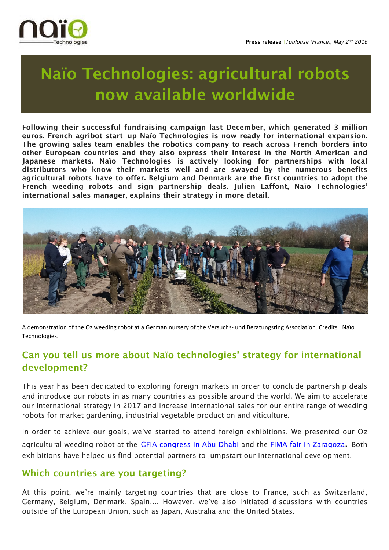

# **Naïo Technologies: agricultural robots now available worldwide**

**Following their successful fundraising campaign last December, which generated 3 million euros, French agribot start-up Naïo Technologies is now ready for international expansion. The growing sales team enables the robotics company to reach across French borders into other European countries and they also express their interest in the North American and Japanese markets. Naïo Technologies is actively looking for partnerships with local distributors who know their markets well and are swayed by the numerous benefits agricultural robots have to offer. Belgium and Denmark are the first countries to adopt the French weeding robots and sign partnership deals. Julien Laffont, Naïo Technologies' international sales manager, explains their strategy in more detail.** 



A demonstration of the Oz weeding robot at a German nursery of the Versuchs- und Beratungsring Association. Credits : Naïo Technologies.

## **Can you tell us more about Naïo technologies' strategy for international development?**

This year has been dedicated to exploring foreign markets in order to conclude partnership deals and introduce our robots in as many countries as possible around the world. We aim to accelerate our international strategy in 2017 and increase international sales for our entire range of weeding robots for market gardening, industrial vegetable production and viticulture.

In order to achieve our goals, we've started to attend foreign exhibitions. We presented our Oz agricultural weeding robot at the GFIA congress in Abu Dhabi and the FIMA fair in Zaragoza. Both exhibitions have helped us find potential partners to jumpstart our international development.

#### **Which countries are you targeting?**

At this point, we're mainly targeting countries that are close to France, such as Switzerland, Germany, Belgium, Denmark, Spain,... However, we've also initiated discussions with countries outside of the European Union, such as Japan, Australia and the United States.